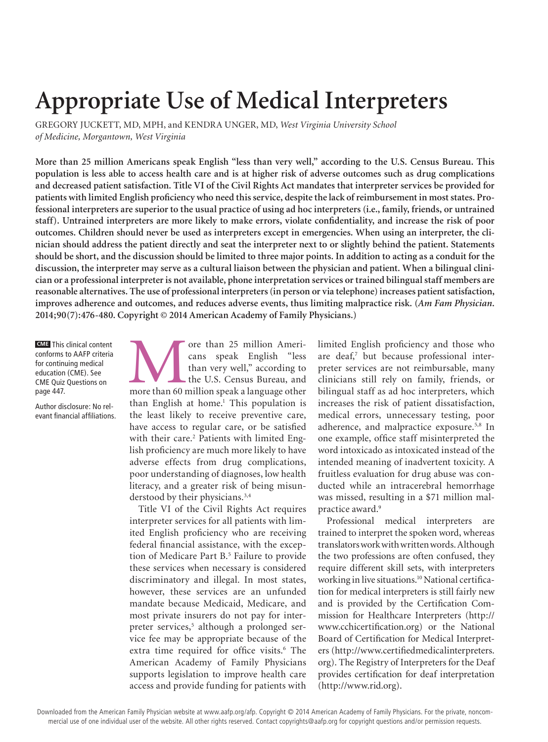# **Appropriate Use of Medical Interpreters**

GREGORY JUCKETT, MD, MPH, and KENDRA UNGER, MD, *West Virginia University School of Medicine, Morgantown, West Virginia*

**More than 25 million Americans speak English "less than very well," according to the U.S. Census Bureau. This population is less able to access health care and is at higher risk of adverse outcomes such as drug complications and decreased patient satisfaction. Title VI of the Civil Rights Act mandates that interpreter services be provided for patients with limited English proficiency who need this service, despite the lack of reimbursement in most states. Professional interpreters are superior to the usual practice of using ad hoc interpreters (i.e., family, friends, or untrained staff). Untrained interpreters are more likely to make errors, violate confidentiality, and increase the risk of poor outcomes. Children should never be used as interpreters except in emergencies. When using an interpreter, the clinician should address the patient directly and seat the interpreter next to or slightly behind the patient. Statements should be short, and the discussion should be limited to three major points. In addition to acting as a conduit for the discussion, the interpreter may serve as a cultural liaison between the physician and patient. When a bilingual clinician or a professional interpreter is not available, phone interpretation services or trained bilingual staff members are reasonable alternatives. The use of professional interpreters (in person or via telephone) increases patient satisfaction, improves adherence and outcomes, and reduces adverse events, thus limiting malpractice risk. (***Am Fam Physician***. 2014;90(7):476-480. Copyright © 2014 American Academy of Family Physicians.)**

**CME** This clinical content conforms to AAFP criteria for continuing medical education (CME). See CME Quiz Questions on page 447.

Author disclosure: No relevant financial affiliations. ore than 25 million Americans speak English "less than very well," according to the U.S. Census Bureau, and more than 60 million speak a language other cans speak English "less than very well," according to the U.S. Census Bureau, and than English at home.<sup>1</sup> This population is the least likely to receive preventive care, have access to regular care, or be satisfied with their care.<sup>2</sup> Patients with limited English proficiency are much more likely to have adverse effects from drug complications, poor understanding of diagnoses, low health literacy, and a greater risk of being misunderstood by their physicians.<sup>3,4</sup>

Title VI of the Civil Rights Act requires interpreter services for all patients with limited English proficiency who are receiving federal financial assistance, with the exception of Medicare Part B.<sup>5</sup> Failure to provide these services when necessary is considered discriminatory and illegal. In most states, however, these services are an unfunded mandate because Medicaid, Medicare, and most private insurers do not pay for interpreter services,<sup>5</sup> although a prolonged service fee may be appropriate because of the extra time required for office visits.<sup>6</sup> The American Academy of Family Physicians supports legislation to improve health care access and provide funding for patients with

limited English proficiency and those who are deaf,<sup>7</sup> but because professional interpreter services are not reimbursable, many clinicians still rely on family, friends, or bilingual staff as ad hoc interpreters, which increases the risk of patient dissatisfaction, medical errors, unnecessary testing, poor adherence, and malpractice exposure.5,8 In one example, office staff misinterpreted the word intoxicado as intoxicated instead of the intended meaning of inadvertent toxicity. A fruitless evaluation for drug abuse was conducted while an intracerebral hemorrhage was missed, resulting in a \$71 million malpractice award.<sup>9</sup>

Professional medical interpreters are trained to interpret the spoken word, whereas translators work with written words. Although the two professions are often confused, they require different skill sets, with interpreters working in live situations.<sup>10</sup> National certification for medical interpreters is still fairly new and is provided by the Certification Commission for Healthcare Interpreters (http:// www.cchicertification.org) or the National Board of Certification for Medical Interpreters (http://www.certifiedmedicalinterpreters. org). The Registry of Interpreters for the Deaf provides certification for deaf interpretation (http://www.rid.org).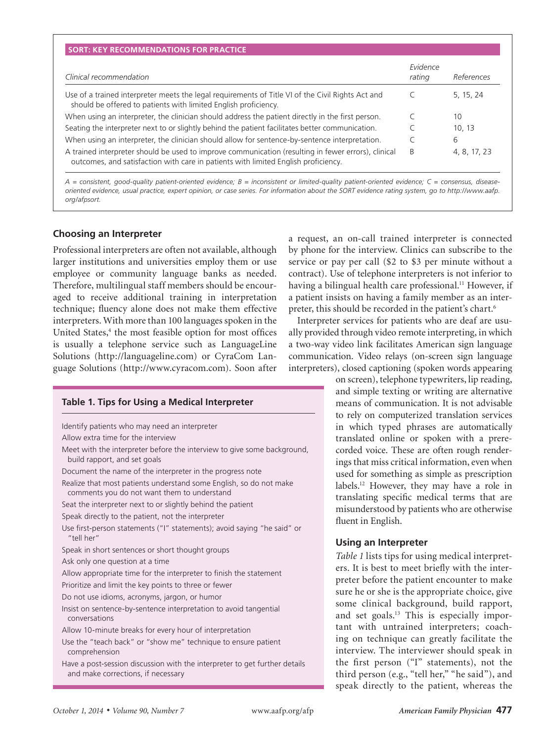| Clinical recommendation                                                                                                                                                                   | Evidence<br>rating | References   |
|-------------------------------------------------------------------------------------------------------------------------------------------------------------------------------------------|--------------------|--------------|
| Use of a trained interpreter meets the legal requirements of Title VI of the Civil Rights Act and<br>should be offered to patients with limited English proficiency.                      |                    | 5, 15, 24    |
| When using an interpreter, the clinician should address the patient directly in the first person.                                                                                         |                    | 10           |
| Seating the interpreter next to or slightly behind the patient facilitates better communication.                                                                                          |                    | 10.13        |
| When using an interpreter, the clinician should allow for sentence-by-sentence interpretation.                                                                                            |                    | 6            |
| A trained interpreter should be used to improve communication (resulting in fewer errors), clinical<br>outcomes, and satisfaction with care in patients with limited English proficiency. | B                  | 4, 8, 17, 23 |

*A = consistent, good-quality patient-oriented evidence; B = inconsistent or limited-quality patient-oriented evidence; C = consensus, diseaseoriented evidence, usual practice, expert opinion, or case series. For information about the SORT evidence rating system, go to http://www.aafp. org/afpsort.*

# **Choosing an Interpreter**

Professional interpreters are often not available, although larger institutions and universities employ them or use employee or community language banks as needed. Therefore, multilingual staff members should be encouraged to receive additional training in interpretation technique; fluency alone does not make them effective interpreters. With more than 100 languages spoken in the United States,<sup>4</sup> the most feasible option for most offices is usually a telephone service such as LanguageLine Solutions (http://languageline.com) or CyraCom Language Solutions (http://www.cyracom.com). Soon after

# **Table 1. Tips for Using a Medical Interpreter**

Identify patients who may need an interpreter

- Allow extra time for the interview
- Meet with the interpreter before the interview to give some background, build rapport, and set goals

Document the name of the interpreter in the progress note

Realize that most patients understand some English, so do not make comments you do not want them to understand

Seat the interpreter next to or slightly behind the patient

Speak directly to the patient, not the interpreter

Use first-person statements ("I" statements); avoid saying "he said" or "tell her"

Speak in short sentences or short thought groups

Ask only one question at a time

Allow appropriate time for the interpreter to finish the statement

Prioritize and limit the key points to three or fewer

Do not use idioms, acronyms, jargon, or humor

Insist on sentence-by-sentence interpretation to avoid tangential conversations

Allow 10-minute breaks for every hour of interpretation

Use the "teach back" or "show me" technique to ensure patient comprehension

Have a post-session discussion with the interpreter to get further details and make corrections, if necessary

a request, an on-call trained interpreter is connected by phone for the interview. Clinics can subscribe to the service or pay per call (\$2 to \$3 per minute without a contract). Use of telephone interpreters is not inferior to having a bilingual health care professional.<sup>11</sup> However, if a patient insists on having a family member as an interpreter, this should be recorded in the patient's chart.6

Interpreter services for patients who are deaf are usually provided through video remote interpreting, in which a two-way video link facilitates American sign language communication. Video relays (on-screen sign language interpreters), closed captioning (spoken words appearing

on screen), telephone typewriters, lip reading, and simple texting or writing are alternative means of communication. It is not advisable to rely on computerized translation services in which typed phrases are automatically translated online or spoken with a prerecorded voice. These are often rough renderings that miss critical information, even when used for something as simple as prescription labels.12 However, they may have a role in translating specific medical terms that are misunderstood by patients who are otherwise fluent in English.

# **Using an Interpreter**

*Table 1* lists tips for using medical interpreters. It is best to meet briefly with the interpreter before the patient encounter to make sure he or she is the appropriate choice, give some clinical background, build rapport, and set goals.<sup>13</sup> This is especially important with untrained interpreters; coaching on technique can greatly facilitate the interview. The interviewer should speak in the first person ("I" statements), not the third person (e.g., "tell her," "he said"), and speak directly to the patient, whereas the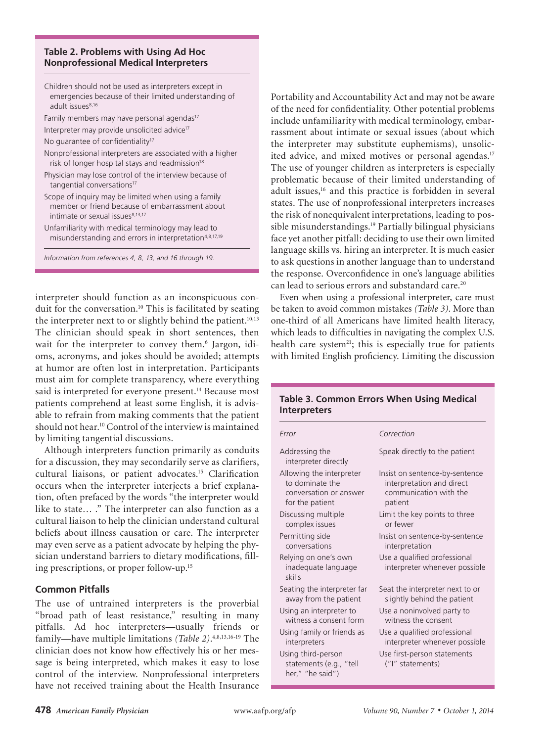## **Table 2. Problems with Using Ad Hoc Nonprofessional Medical Interpreters**

**Medical Interpreters**

| Children should not be used as interpreters except in<br>emergencies because of their limited understanding of<br>adult issues <sup>8,16</sup>         |  |
|--------------------------------------------------------------------------------------------------------------------------------------------------------|--|
| Family members may have personal agendas <sup>17</sup>                                                                                                 |  |
| Interpreter may provide unsolicited advice <sup>17</sup>                                                                                               |  |
| No quarantee of confidentiality <sup>17</sup>                                                                                                          |  |
| Nonprofessional interpreters are associated with a higher<br>risk of longer hospital stays and readmission <sup>18</sup>                               |  |
| Physician may lose control of the interview because of<br>tangential conversations <sup>17</sup>                                                       |  |
| Scope of inquiry may be limited when using a family<br>member or friend because of embarrassment about<br>intimate or sexual issues <sup>8,13,17</sup> |  |
| Unfamiliarity with medical terminology may lead to<br>misunderstanding and errors in interpretation <sup>4,8,17,19</sup>                               |  |

*Information from references 4, 8, 13, and 16 through 19.*

interpreter should function as an inconspicuous conduit for the conversation.<sup>10</sup> This is facilitated by seating the interpreter next to or slightly behind the patient.<sup>10,13</sup> The clinician should speak in short sentences, then wait for the interpreter to convey them.<sup>6</sup> Jargon, idioms, acronyms, and jokes should be avoided; attempts at humor are often lost in interpretation. Participants must aim for complete transparency, where everything said is interpreted for everyone present.<sup>14</sup> Because most patients comprehend at least some English, it is advisable to refrain from making comments that the patient should not hear.10 Control of the interview is maintained by limiting tangential discussions.

Although interpreters function primarily as conduits for a discussion, they may secondarily serve as clarifiers, cultural liaisons, or patient advocates.<sup>15</sup> Clarification occurs when the interpreter interjects a brief explanation, often prefaced by the words "the interpreter would like to state... ." The interpreter can also function as a cultural liaison to help the clinician understand cultural beliefs about illness causation or care. The interpreter may even serve as a patient advocate by helping the physician understand barriers to dietary modifications, filling prescriptions, or proper follow-up. 15

# **Common Pitfalls**

The use of untrained interpreters is the proverbial "broad path of least resistance," resulting in many pitfalls. Ad hoc interpreters—usually friends or family—have multiple limitations *(Table 2)*. 4,8,13,16-19 The clinician does not know how effectively his or her message is being interpreted, which makes it easy to lose control of the interview. Nonprofessional interpreters have not received training about the Health Insurance

Portability and Accountability Act and may not be aware of the need for confidentiality. Other potential problems include unfamiliarity with medical terminology, embarrassment about intimate or sexual issues (about which the interpreter may substitute euphemisms), unsolicited advice, and mixed motives or personal agendas.<sup>17</sup> The use of younger children as interpreters is especially problematic because of their limited understanding of adult issues,<sup>16</sup> and this practice is forbidden in several states. The use of nonprofessional interpreters increases the risk of nonequivalent interpretations, leading to possible misunderstandings.<sup>19</sup> Partially bilingual physicians face yet another pitfall: deciding to use their own limited language skills vs. hiring an interpreter. It is much easier to ask questions in another language than to understand the response. Overconfidence in one's language abilities can lead to serious errors and substandard care.<sup>20</sup>

Even when using a professional interpreter, care must be taken to avoid common mistakes *(Table 3)*. More than one-third of all Americans have limited health literacy, which leads to difficulties in navigating the complex U.S. health care system<sup>21</sup>; this is especially true for patients with limited English proficiency. Limiting the discussion

| Error                                                             | Correction                                                    |
|-------------------------------------------------------------------|---------------------------------------------------------------|
| Addressing the<br>interpreter directly                            | Speak directly to the patient                                 |
| Allowing the interpreter                                          | Insist on sentence-by-sentence                                |
| to dominate the                                                   | interpretation and direct                                     |
| conversation or answer                                            | communication with the                                        |
| for the patient                                                   | patient                                                       |
| Discussing multiple                                               | Limit the key points to three                                 |
| complex issues                                                    | or fewer                                                      |
| Permitting side                                                   | Insist on sentence-by-sentence                                |
| conversations                                                     | interpretation                                                |
| Relying on one's own<br>inadequate language<br>skills             | Use a qualified professional<br>interpreter whenever possible |
| Seating the interpreter far                                       | Seat the interpreter next to or                               |
| away from the patient                                             | slightly behind the patient                                   |
| Using an interpreter to                                           | Use a noninvolved party to                                    |
| witness a consent form                                            | witness the consent                                           |
| Using family or friends as                                        | Use a qualified professional                                  |
| interpreters                                                      | interpreter whenever possible                                 |
| Using third-person<br>statements (e.g., "tell<br>her," "he said") | Use first-person statements<br>("I" statements)               |

# **Table 3. Common Errors When Using Medical Interpreters**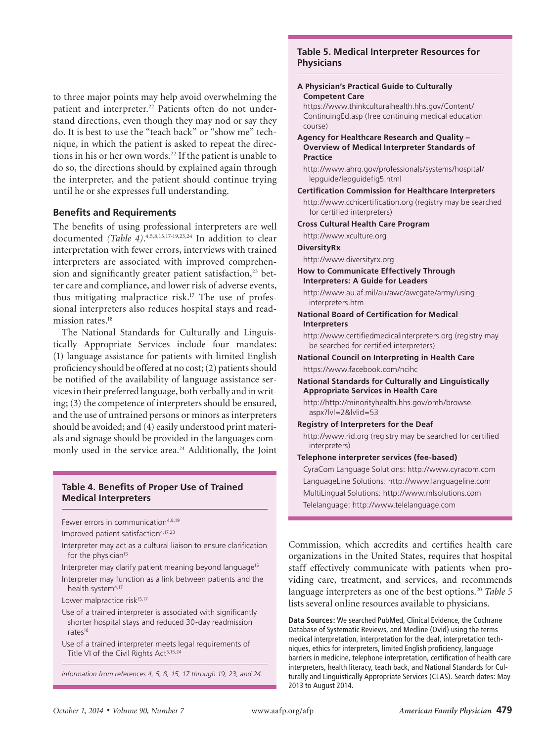to three major points may help avoid overwhelming the patient and interpreter.<sup>22</sup> Patients often do not understand directions, even though they may nod or say they do. It is best to use the "teach back" or "show me" technique, in which the patient is asked to repeat the directions in his or her own words.<sup>22</sup> If the patient is unable to do so, the directions should by explained again through the interpreter, and the patient should continue trying until he or she expresses full understanding.

## **Benefits and Requirements**

The benefits of using professional interpreters are well documented *(Table 4)*. 4,5,8,15,17-19,23,24 In addition to clear interpretation with fewer errors, interviews with trained interpreters are associated with improved comprehension and significantly greater patient satisfaction,<sup>23</sup> better care and compliance, and lower risk of adverse events, thus mitigating malpractice risk.<sup>17</sup> The use of professional interpreters also reduces hospital stays and readmission rates.<sup>18</sup>

The National Standards for Culturally and Linguistically Appropriate Services include four mandates: (1) language assistance for patients with limited English proficiency should be offered at no cost; (2) patients should be notified of the availability of language assistance services in their preferred language, both verbally and in writing; (3) the competence of interpreters should be ensured, and the use of untrained persons or minors as interpreters should be avoided; and (4) easily understood print materials and signage should be provided in the languages commonly used in the service area.<sup>24</sup> Additionally, the Joint

## **Table 4. Benefits of Proper Use of Trained Medical Interpreters**

Fewer errors in communication<sup>4,8,19</sup>

Improved patient satisfaction<sup>4,17,23</sup>

Interpreter may act as a cultural liaison to ensure clarification for the physician<sup>15</sup>

Interpreter may clarify patient meaning beyond language<sup>15</sup> Interpreter may function as a link between patients and the health system<sup>4,17</sup>

Lower malpractice risk<sup>15,17</sup>

- Use of a trained interpreter is associated with significantly shorter hospital stays and reduced 30-day readmission rates18
- Use of a trained interpreter meets legal requirements of Title VI of the Civil Rights Act<sup>5,15,24</sup>

*Information from references 4, 5, 8, 15, 17 through 19, 23, and 24.*

## **Table 5. Medical Interpreter Resources for Physicians**

**Medical Interpreters**

#### **A Physician's Practical Guide to Culturally Competent Care**

https://www.thinkculturalhealth.hhs.gov/Content/ ContinuingEd.asp (free continuing medical education course)

- **Agency for Healthcare Research and Quality Overview of Medical Interpreter Standards of Practice**
	- http://www.ahrq.gov/professionals/systems/hospital/ lepguide/lepguidefig5.html
- **Certification Commission for Healthcare Interpreters**
- http://www.cchicertification.org (registry may be searched for certified interpreters)
- **Cross Cultural Health Care Program**

http://www.xculture.org

## **DiversityRx**

http://www.diversityrx.org

#### **How to Communicate Effectively Through Interpreters: A Guide for Leaders**

http://www.au.af.mil/au/awc/awcgate/army/using\_ interpreters.htm

## **National Board of Certification for Medical Interpreters**

http://www.certifiedmedicalinterpreters.org (registry may be searched for certified interpreters)

## **National Council on Interpreting in Health Care** https://www.facebook.com/ncihc

#### **National Standards for Culturally and Linguistically Appropriate Services in Health Care**

http://http://minorityhealth.hhs.gov/omh/browse. aspx?lvl=2&lvlid=53

#### **Registry of Interpreters for the Deaf**

http://www.rid.org (registry may be searched for certified interpreters)

#### **Telephone interpreter services (fee-based)**

CyraCom Language Solutions: http://www.cyracom.com LanguageLine Solutions: http://www.languageline.com MultiLingual Solutions: http://www.mlsolutions.com Telelanguage: http://www.telelanguage.com

Commission, which accredits and certifies health care organizations in the United States, requires that hospital staff effectively communicate with patients when providing care, treatment, and services, and recommends language interpreters as one of the best options.<sup>20</sup> *Table 5* lists several online resources available to physicians.

**Data Sources:** We searched PubMed, Clinical Evidence, the Cochrane Database of Systematic Reviews, and Medline (Ovid) using the terms medical interpretation, interpretation for the deaf, interpretation techniques, ethics for interpreters, limited English proficiency, language barriers in medicine, telephone interpretation, certification of health care interpreters, health literacy, teach back, and National Standards for Culturally and Linguistically Appropriate Services (CLAS). Search dates: May 2013 to August 2014.